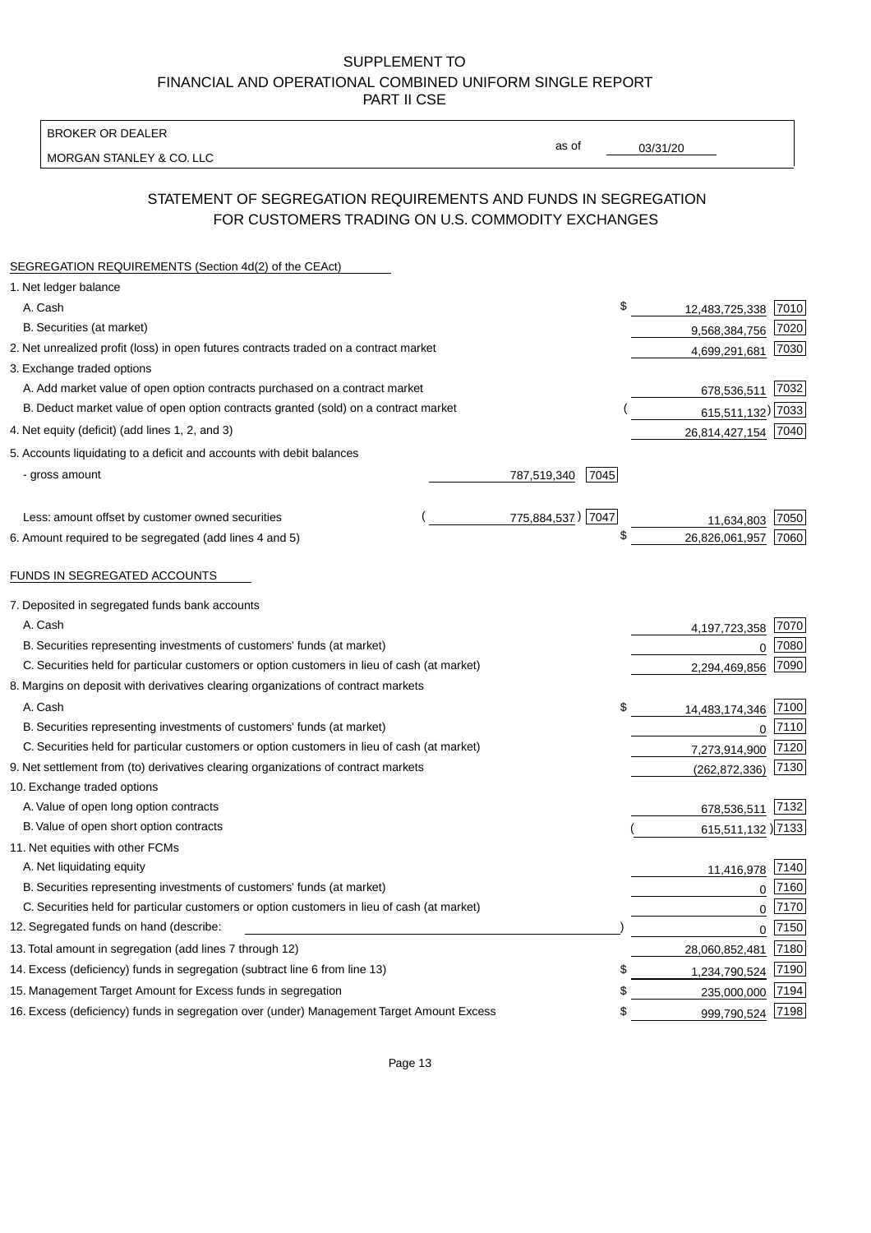BROKER OR DEALER

MORGAN STANLEY & CO. LLC

03/31/20

as of

# STATEMENT OF SEGREGATION REQUIREMENTS AND FUNDS IN SEGREGATION FOR CUSTOMERS TRADING ON U.S. COMMODITY EXCHANGES

| SEGREGATION REQUIREMENTS (Section 4d(2) of the CEAct)                                       |                     |    |                     |      |
|---------------------------------------------------------------------------------------------|---------------------|----|---------------------|------|
| 1. Net ledger balance                                                                       |                     |    |                     |      |
| A. Cash                                                                                     |                     | \$ | 12,483,725,338      | 7010 |
| B. Securities (at market)                                                                   |                     |    | 9,568,384,756       | 7020 |
| 2. Net unrealized profit (loss) in open futures contracts traded on a contract market       |                     |    | 4,699,291,681       | 7030 |
| 3. Exchange traded options                                                                  |                     |    |                     |      |
| A. Add market value of open option contracts purchased on a contract market                 |                     |    | 678,536,511         | 7032 |
| B. Deduct market value of open option contracts granted (sold) on a contract market         |                     |    | 615,511,132) 7033   |      |
| 4. Net equity (deficit) (add lines 1, 2, and 3)                                             |                     |    | 26,814,427,154 7040 |      |
| 5. Accounts liquidating to a deficit and accounts with debit balances                       |                     |    |                     |      |
| - gross amount                                                                              | 787,519,340<br>7045 |    |                     |      |
|                                                                                             |                     |    |                     |      |
| Less: amount offset by customer owned securities                                            | 775,884,537) 7047   |    | 11,634,803          | 7050 |
| 6. Amount required to be segregated (add lines 4 and 5)                                     |                     | \$ | 26,826,061,957      | 7060 |
|                                                                                             |                     |    |                     |      |
| FUNDS IN SEGREGATED ACCOUNTS                                                                |                     |    |                     |      |
| 7. Deposited in segregated funds bank accounts                                              |                     |    |                     |      |
| A. Cash                                                                                     |                     |    | 4, 197, 723, 358    | 7070 |
| B. Securities representing investments of customers' funds (at market)                      |                     |    | $\Omega$            | 7080 |
| C. Securities held for particular customers or option customers in lieu of cash (at market) |                     |    | 2,294,469,856       | 7090 |
| 8. Margins on deposit with derivatives clearing organizations of contract markets           |                     |    |                     |      |
| A. Cash                                                                                     |                     | \$ | 14,483,174,346      | 7100 |
| B. Securities representing investments of customers' funds (at market)                      |                     |    | $\mathbf{0}$        | 7110 |
| C. Securities held for particular customers or option customers in lieu of cash (at market) |                     |    | 7,273,914,900       | 7120 |
| 9. Net settlement from (to) derivatives clearing organizations of contract markets          |                     |    | (262, 872, 336)     | 7130 |
| 10. Exchange traded options                                                                 |                     |    |                     |      |
| A. Value of open long option contracts                                                      |                     |    | 678,536,511         | 7132 |
| B. Value of open short option contracts                                                     |                     |    | 615,511,132 )7133   |      |
| 11. Net equities with other FCMs                                                            |                     |    |                     |      |
| A. Net liquidating equity                                                                   |                     |    | 11,416,978          | 7140 |
| B. Securities representing investments of customers' funds (at market)                      |                     |    | $\mathbf 0$         | 7160 |
| C. Securities held for particular customers or option customers in lieu of cash (at market) |                     |    | 0                   | 7170 |
| 12. Segregated funds on hand (describe:                                                     |                     |    | 0                   | 7150 |
| 13. Total amount in segregation (add lines 7 through 12)                                    |                     |    | 28,060,852,481      | 7180 |
| 14. Excess (deficiency) funds in segregation (subtract line 6 from line 13)                 |                     | S  | 1,234,790,524       | 7190 |
| 15. Management Target Amount for Excess funds in segregation                                |                     | \$ | 235,000,000         | 7194 |
| 16. Excess (deficiency) funds in segregation over (under) Management Target Amount Excess   |                     | \$ | 999,790,524         | 7198 |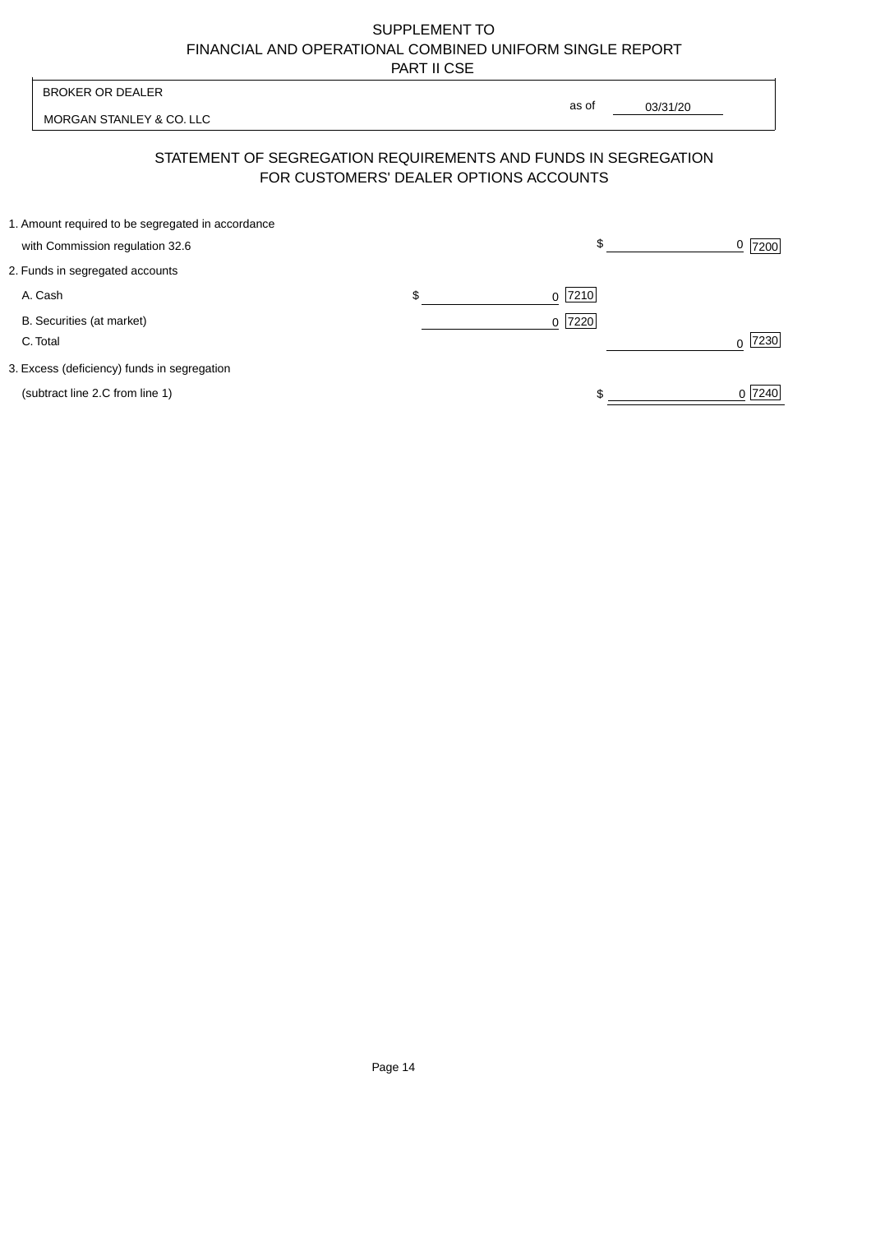| <b>BROKER OR DEALER</b>                                                              | as of                                  |          |                  |
|--------------------------------------------------------------------------------------|----------------------------------------|----------|------------------|
| MORGAN STANLEY & CO. LLC                                                             |                                        | 03/31/20 |                  |
| STATEMENT OF SEGREGATION REQUIREMENTS AND FUNDS IN SEGREGATION                       | FOR CUSTOMERS' DEALER OPTIONS ACCOUNTS |          |                  |
| 1. Amount required to be segregated in accordance<br>with Commission regulation 32.6 | \$                                     |          | <u>0</u>  7200   |
| 2. Funds in segregated accounts                                                      |                                        |          |                  |
| A. Cash                                                                              | \$<br>7210<br>$\Omega$                 |          |                  |
| B. Securities (at market)<br>C. Total                                                | $0$  7220                              |          | 7230<br>$\Omega$ |
| 3. Excess (deficiency) funds in segregation                                          |                                        |          |                  |
| (subtract line 2.C from line 1)                                                      |                                        |          | 0 7240           |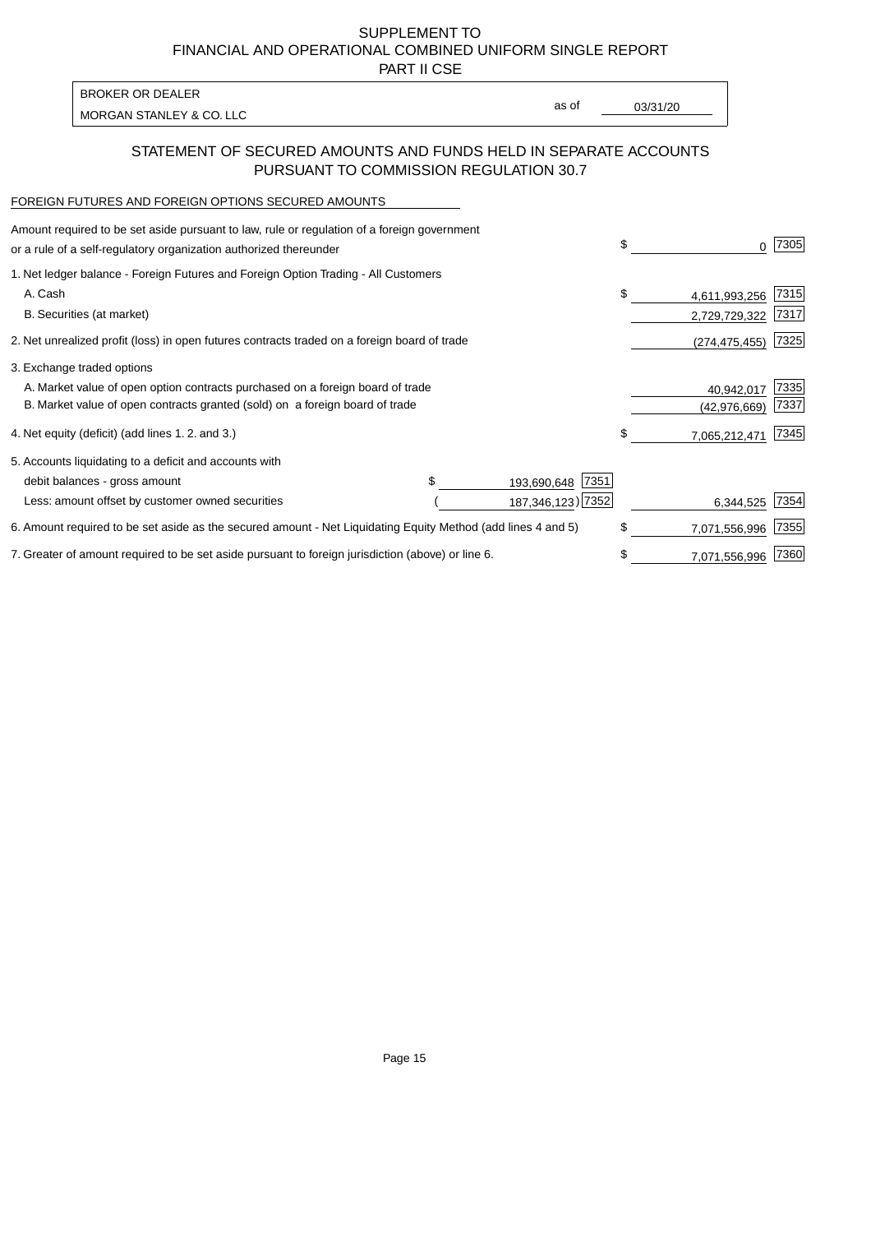PART II CSE

| BROKER OR DEALER         |       |          |
|--------------------------|-------|----------|
| MORGAN STANLEY & CO. LLC | as of | 03/31/20 |
|                          |       |          |

## STATEMENT OF SECURED AMOUNTS AND FUNDS HELD IN SEPARATE ACCOUNTS PURSUANT TO COMMISSION REGULATION 30.7

#### FOREIGN FUTURES AND FOREIGN OPTIONS SECURED AMOUNTS

| Amount required to be set aside pursuant to law, rule or regulation of a foreign government<br>or a rule of a self-regulatory organization authorized thereunder |  |                      | \$<br>O.            | 7305 |
|------------------------------------------------------------------------------------------------------------------------------------------------------------------|--|----------------------|---------------------|------|
| 1. Net ledger balance - Foreign Futures and Foreign Option Trading - All Customers                                                                               |  |                      |                     |      |
| A. Cash                                                                                                                                                          |  |                      | \$<br>4,611,993,256 | 7315 |
| B. Securities (at market)                                                                                                                                        |  |                      | 2,729,729,322       | 7317 |
| 2. Net unrealized profit (loss) in open futures contracts traded on a foreign board of trade                                                                     |  |                      | (274, 475, 455)     | 7325 |
| 3. Exchange traded options                                                                                                                                       |  |                      |                     |      |
| A. Market value of open option contracts purchased on a foreign board of trade                                                                                   |  |                      | 40,942,017          | 7335 |
| B. Market value of open contracts granted (sold) on a foreign board of trade                                                                                     |  |                      | (42, 976, 669)      | 7337 |
| 4. Net equity (deficit) (add lines 1.2. and 3.)                                                                                                                  |  |                      | \$<br>7,065,212,471 | 7345 |
| 5. Accounts liquidating to a deficit and accounts with                                                                                                           |  |                      |                     |      |
| debit balances - gross amount                                                                                                                                    |  | 7351<br>193,690,648  |                     |      |
| Less: amount offset by customer owned securities                                                                                                                 |  | 187, 346, 123 ) 7352 | 6,344,525           | 7354 |
| 6. Amount required to be set aside as the secured amount - Net Liquidating Equity Method (add lines 4 and 5)                                                     |  |                      | \$<br>7,071,556,996 | 7355 |
| 7. Greater of amount required to be set aside pursuant to foreign jurisdiction (above) or line 6.                                                                |  |                      | \$<br>7,071,556,996 | 7360 |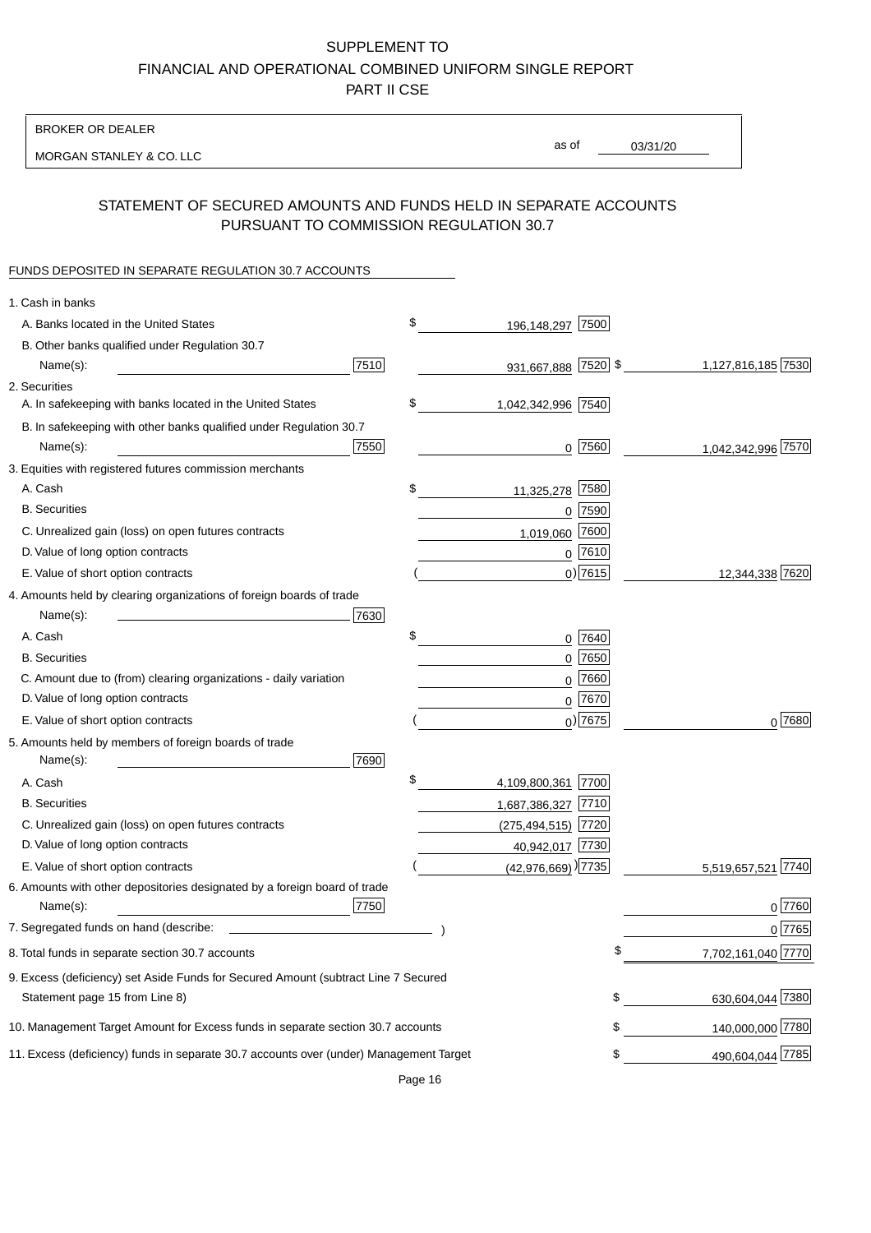BROKER OR DEALER

MORGAN STANLEY & CO. LLC

03/31/20 as of

## STATEMENT OF SECURED AMOUNTS AND FUNDS HELD IN SEPARATE ACCOUNTS PURSUANT TO COMMISSION REGULATION 30.7

### FUNDS DEPOSITED IN SEPARATE REGULATION 30.7 ACCOUNTS

| \$<br>A. Banks located in the United States<br>7500<br>196,148,297<br>B. Other banks qualified under Regulation 30.7<br>7510<br>931,667,888 7520 \$<br>1,127,816,185 7530<br>Name(s):<br>2. Securities<br>\$<br>A. In safekeeping with banks located in the United States<br>1,042,342,996 7540<br>B. In safekeeping with other banks qualified under Regulation 30.7<br>7550<br>$0$ 7560<br>1,042,342,996 7570<br>Name(s):<br>3. Equities with registered futures commission merchants<br>7580<br>A. Cash<br>\$<br>11,325,278<br><b>B.</b> Securities<br>$0$ 7590<br>7600<br>C. Unrealized gain (loss) on open futures contracts<br>1,019,060<br>$0$ 7610<br>D. Value of long option contracts<br>$0)$ 7615<br>12,344,338 7620<br>E. Value of short option contracts<br>4. Amounts held by clearing organizations of foreign boards of trade<br>Name(s):<br>7630<br>\$<br>A. Cash<br>0 7640<br>$0$ 7650<br><b>B.</b> Securities<br>7660<br>C. Amount due to (from) clearing organizations - daily variation<br>0<br>D. Value of long option contracts<br>0 7670<br>$_0$ ) 7675<br>0 7680<br>E. Value of short option contracts<br>5. Amounts held by members of foreign boards of trade<br>7690<br>Name(s):<br>\$<br>4,109,800,361 7700<br>A. Cash<br>1,687,386,327 7710<br><b>B.</b> Securities<br>C. Unrealized gain (loss) on open futures contracts<br>$(275, 494, 515)$ 7720<br>D. Value of long option contracts<br>40,942,017 7730<br>$(42,976,669)$ <sup>)</sup> 7735<br>E. Value of short option contracts<br>5,519,657,521 7740<br>6. Amounts with other depositories designated by a foreign board of trade<br>7750<br>0 7760<br>Name(s):<br>7. Segregated funds on hand (describe:<br>0 7765<br>7,702,161,040 7770<br>8. Total funds in separate section 30.7 accounts<br>9. Excess (deficiency) set Aside Funds for Secured Amount (subtract Line 7 Secured<br>630,604,044 7380<br>\$<br>Statement page 15 from Line 8)<br>140,000,000 7780<br>10. Management Target Amount for Excess funds in separate section 30.7 accounts<br>\$<br>490,604,044 7785<br>11. Excess (deficiency) funds in separate 30.7 accounts over (under) Management Target<br>\$ | 1. Cash in banks |  |  |
|------------------------------------------------------------------------------------------------------------------------------------------------------------------------------------------------------------------------------------------------------------------------------------------------------------------------------------------------------------------------------------------------------------------------------------------------------------------------------------------------------------------------------------------------------------------------------------------------------------------------------------------------------------------------------------------------------------------------------------------------------------------------------------------------------------------------------------------------------------------------------------------------------------------------------------------------------------------------------------------------------------------------------------------------------------------------------------------------------------------------------------------------------------------------------------------------------------------------------------------------------------------------------------------------------------------------------------------------------------------------------------------------------------------------------------------------------------------------------------------------------------------------------------------------------------------------------------------------------------------------------------------------------------------------------------------------------------------------------------------------------------------------------------------------------------------------------------------------------------------------------------------------------------------------------------------------------------------------------------------------------------------------------------------------------------------------------------------------------------------------------------------------------------------------|------------------|--|--|
|                                                                                                                                                                                                                                                                                                                                                                                                                                                                                                                                                                                                                                                                                                                                                                                                                                                                                                                                                                                                                                                                                                                                                                                                                                                                                                                                                                                                                                                                                                                                                                                                                                                                                                                                                                                                                                                                                                                                                                                                                                                                                                                                                                        |                  |  |  |
|                                                                                                                                                                                                                                                                                                                                                                                                                                                                                                                                                                                                                                                                                                                                                                                                                                                                                                                                                                                                                                                                                                                                                                                                                                                                                                                                                                                                                                                                                                                                                                                                                                                                                                                                                                                                                                                                                                                                                                                                                                                                                                                                                                        |                  |  |  |
|                                                                                                                                                                                                                                                                                                                                                                                                                                                                                                                                                                                                                                                                                                                                                                                                                                                                                                                                                                                                                                                                                                                                                                                                                                                                                                                                                                                                                                                                                                                                                                                                                                                                                                                                                                                                                                                                                                                                                                                                                                                                                                                                                                        |                  |  |  |
|                                                                                                                                                                                                                                                                                                                                                                                                                                                                                                                                                                                                                                                                                                                                                                                                                                                                                                                                                                                                                                                                                                                                                                                                                                                                                                                                                                                                                                                                                                                                                                                                                                                                                                                                                                                                                                                                                                                                                                                                                                                                                                                                                                        |                  |  |  |
|                                                                                                                                                                                                                                                                                                                                                                                                                                                                                                                                                                                                                                                                                                                                                                                                                                                                                                                                                                                                                                                                                                                                                                                                                                                                                                                                                                                                                                                                                                                                                                                                                                                                                                                                                                                                                                                                                                                                                                                                                                                                                                                                                                        |                  |  |  |
|                                                                                                                                                                                                                                                                                                                                                                                                                                                                                                                                                                                                                                                                                                                                                                                                                                                                                                                                                                                                                                                                                                                                                                                                                                                                                                                                                                                                                                                                                                                                                                                                                                                                                                                                                                                                                                                                                                                                                                                                                                                                                                                                                                        |                  |  |  |
|                                                                                                                                                                                                                                                                                                                                                                                                                                                                                                                                                                                                                                                                                                                                                                                                                                                                                                                                                                                                                                                                                                                                                                                                                                                                                                                                                                                                                                                                                                                                                                                                                                                                                                                                                                                                                                                                                                                                                                                                                                                                                                                                                                        |                  |  |  |
|                                                                                                                                                                                                                                                                                                                                                                                                                                                                                                                                                                                                                                                                                                                                                                                                                                                                                                                                                                                                                                                                                                                                                                                                                                                                                                                                                                                                                                                                                                                                                                                                                                                                                                                                                                                                                                                                                                                                                                                                                                                                                                                                                                        |                  |  |  |
|                                                                                                                                                                                                                                                                                                                                                                                                                                                                                                                                                                                                                                                                                                                                                                                                                                                                                                                                                                                                                                                                                                                                                                                                                                                                                                                                                                                                                                                                                                                                                                                                                                                                                                                                                                                                                                                                                                                                                                                                                                                                                                                                                                        |                  |  |  |
|                                                                                                                                                                                                                                                                                                                                                                                                                                                                                                                                                                                                                                                                                                                                                                                                                                                                                                                                                                                                                                                                                                                                                                                                                                                                                                                                                                                                                                                                                                                                                                                                                                                                                                                                                                                                                                                                                                                                                                                                                                                                                                                                                                        |                  |  |  |
|                                                                                                                                                                                                                                                                                                                                                                                                                                                                                                                                                                                                                                                                                                                                                                                                                                                                                                                                                                                                                                                                                                                                                                                                                                                                                                                                                                                                                                                                                                                                                                                                                                                                                                                                                                                                                                                                                                                                                                                                                                                                                                                                                                        |                  |  |  |
|                                                                                                                                                                                                                                                                                                                                                                                                                                                                                                                                                                                                                                                                                                                                                                                                                                                                                                                                                                                                                                                                                                                                                                                                                                                                                                                                                                                                                                                                                                                                                                                                                                                                                                                                                                                                                                                                                                                                                                                                                                                                                                                                                                        |                  |  |  |
|                                                                                                                                                                                                                                                                                                                                                                                                                                                                                                                                                                                                                                                                                                                                                                                                                                                                                                                                                                                                                                                                                                                                                                                                                                                                                                                                                                                                                                                                                                                                                                                                                                                                                                                                                                                                                                                                                                                                                                                                                                                                                                                                                                        |                  |  |  |
|                                                                                                                                                                                                                                                                                                                                                                                                                                                                                                                                                                                                                                                                                                                                                                                                                                                                                                                                                                                                                                                                                                                                                                                                                                                                                                                                                                                                                                                                                                                                                                                                                                                                                                                                                                                                                                                                                                                                                                                                                                                                                                                                                                        |                  |  |  |
|                                                                                                                                                                                                                                                                                                                                                                                                                                                                                                                                                                                                                                                                                                                                                                                                                                                                                                                                                                                                                                                                                                                                                                                                                                                                                                                                                                                                                                                                                                                                                                                                                                                                                                                                                                                                                                                                                                                                                                                                                                                                                                                                                                        |                  |  |  |
|                                                                                                                                                                                                                                                                                                                                                                                                                                                                                                                                                                                                                                                                                                                                                                                                                                                                                                                                                                                                                                                                                                                                                                                                                                                                                                                                                                                                                                                                                                                                                                                                                                                                                                                                                                                                                                                                                                                                                                                                                                                                                                                                                                        |                  |  |  |
|                                                                                                                                                                                                                                                                                                                                                                                                                                                                                                                                                                                                                                                                                                                                                                                                                                                                                                                                                                                                                                                                                                                                                                                                                                                                                                                                                                                                                                                                                                                                                                                                                                                                                                                                                                                                                                                                                                                                                                                                                                                                                                                                                                        |                  |  |  |
|                                                                                                                                                                                                                                                                                                                                                                                                                                                                                                                                                                                                                                                                                                                                                                                                                                                                                                                                                                                                                                                                                                                                                                                                                                                                                                                                                                                                                                                                                                                                                                                                                                                                                                                                                                                                                                                                                                                                                                                                                                                                                                                                                                        |                  |  |  |
|                                                                                                                                                                                                                                                                                                                                                                                                                                                                                                                                                                                                                                                                                                                                                                                                                                                                                                                                                                                                                                                                                                                                                                                                                                                                                                                                                                                                                                                                                                                                                                                                                                                                                                                                                                                                                                                                                                                                                                                                                                                                                                                                                                        |                  |  |  |
|                                                                                                                                                                                                                                                                                                                                                                                                                                                                                                                                                                                                                                                                                                                                                                                                                                                                                                                                                                                                                                                                                                                                                                                                                                                                                                                                                                                                                                                                                                                                                                                                                                                                                                                                                                                                                                                                                                                                                                                                                                                                                                                                                                        |                  |  |  |
|                                                                                                                                                                                                                                                                                                                                                                                                                                                                                                                                                                                                                                                                                                                                                                                                                                                                                                                                                                                                                                                                                                                                                                                                                                                                                                                                                                                                                                                                                                                                                                                                                                                                                                                                                                                                                                                                                                                                                                                                                                                                                                                                                                        |                  |  |  |
|                                                                                                                                                                                                                                                                                                                                                                                                                                                                                                                                                                                                                                                                                                                                                                                                                                                                                                                                                                                                                                                                                                                                                                                                                                                                                                                                                                                                                                                                                                                                                                                                                                                                                                                                                                                                                                                                                                                                                                                                                                                                                                                                                                        |                  |  |  |
|                                                                                                                                                                                                                                                                                                                                                                                                                                                                                                                                                                                                                                                                                                                                                                                                                                                                                                                                                                                                                                                                                                                                                                                                                                                                                                                                                                                                                                                                                                                                                                                                                                                                                                                                                                                                                                                                                                                                                                                                                                                                                                                                                                        |                  |  |  |
|                                                                                                                                                                                                                                                                                                                                                                                                                                                                                                                                                                                                                                                                                                                                                                                                                                                                                                                                                                                                                                                                                                                                                                                                                                                                                                                                                                                                                                                                                                                                                                                                                                                                                                                                                                                                                                                                                                                                                                                                                                                                                                                                                                        |                  |  |  |
|                                                                                                                                                                                                                                                                                                                                                                                                                                                                                                                                                                                                                                                                                                                                                                                                                                                                                                                                                                                                                                                                                                                                                                                                                                                                                                                                                                                                                                                                                                                                                                                                                                                                                                                                                                                                                                                                                                                                                                                                                                                                                                                                                                        |                  |  |  |
|                                                                                                                                                                                                                                                                                                                                                                                                                                                                                                                                                                                                                                                                                                                                                                                                                                                                                                                                                                                                                                                                                                                                                                                                                                                                                                                                                                                                                                                                                                                                                                                                                                                                                                                                                                                                                                                                                                                                                                                                                                                                                                                                                                        |                  |  |  |
|                                                                                                                                                                                                                                                                                                                                                                                                                                                                                                                                                                                                                                                                                                                                                                                                                                                                                                                                                                                                                                                                                                                                                                                                                                                                                                                                                                                                                                                                                                                                                                                                                                                                                                                                                                                                                                                                                                                                                                                                                                                                                                                                                                        |                  |  |  |
|                                                                                                                                                                                                                                                                                                                                                                                                                                                                                                                                                                                                                                                                                                                                                                                                                                                                                                                                                                                                                                                                                                                                                                                                                                                                                                                                                                                                                                                                                                                                                                                                                                                                                                                                                                                                                                                                                                                                                                                                                                                                                                                                                                        |                  |  |  |
|                                                                                                                                                                                                                                                                                                                                                                                                                                                                                                                                                                                                                                                                                                                                                                                                                                                                                                                                                                                                                                                                                                                                                                                                                                                                                                                                                                                                                                                                                                                                                                                                                                                                                                                                                                                                                                                                                                                                                                                                                                                                                                                                                                        |                  |  |  |
|                                                                                                                                                                                                                                                                                                                                                                                                                                                                                                                                                                                                                                                                                                                                                                                                                                                                                                                                                                                                                                                                                                                                                                                                                                                                                                                                                                                                                                                                                                                                                                                                                                                                                                                                                                                                                                                                                                                                                                                                                                                                                                                                                                        |                  |  |  |
|                                                                                                                                                                                                                                                                                                                                                                                                                                                                                                                                                                                                                                                                                                                                                                                                                                                                                                                                                                                                                                                                                                                                                                                                                                                                                                                                                                                                                                                                                                                                                                                                                                                                                                                                                                                                                                                                                                                                                                                                                                                                                                                                                                        |                  |  |  |
|                                                                                                                                                                                                                                                                                                                                                                                                                                                                                                                                                                                                                                                                                                                                                                                                                                                                                                                                                                                                                                                                                                                                                                                                                                                                                                                                                                                                                                                                                                                                                                                                                                                                                                                                                                                                                                                                                                                                                                                                                                                                                                                                                                        |                  |  |  |
|                                                                                                                                                                                                                                                                                                                                                                                                                                                                                                                                                                                                                                                                                                                                                                                                                                                                                                                                                                                                                                                                                                                                                                                                                                                                                                                                                                                                                                                                                                                                                                                                                                                                                                                                                                                                                                                                                                                                                                                                                                                                                                                                                                        |                  |  |  |
|                                                                                                                                                                                                                                                                                                                                                                                                                                                                                                                                                                                                                                                                                                                                                                                                                                                                                                                                                                                                                                                                                                                                                                                                                                                                                                                                                                                                                                                                                                                                                                                                                                                                                                                                                                                                                                                                                                                                                                                                                                                                                                                                                                        |                  |  |  |
|                                                                                                                                                                                                                                                                                                                                                                                                                                                                                                                                                                                                                                                                                                                                                                                                                                                                                                                                                                                                                                                                                                                                                                                                                                                                                                                                                                                                                                                                                                                                                                                                                                                                                                                                                                                                                                                                                                                                                                                                                                                                                                                                                                        |                  |  |  |